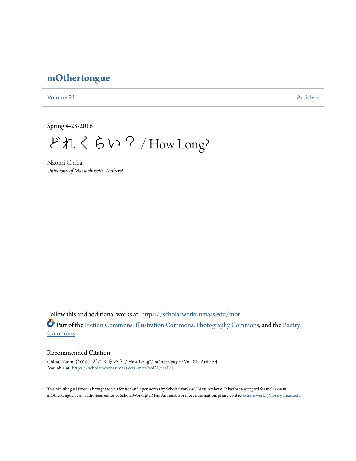# **[mOthertongue](https://scholarworks.umass.edu/mot?utm_source=scholarworks.umass.edu%2Fmot%2Fvol21%2Fiss1%2F4&utm_medium=PDF&utm_campaign=PDFCoverPages)**

[Volume 21](https://scholarworks.umass.edu/mot/vol21?utm_source=scholarworks.umass.edu%2Fmot%2Fvol21%2Fiss1%2F4&utm_medium=PDF&utm_campaign=PDFCoverPages) [Article 4](https://scholarworks.umass.edu/mot/vol21/iss1/4?utm_source=scholarworks.umass.edu%2Fmot%2Fvol21%2Fiss1%2F4&utm_medium=PDF&utm_campaign=PDFCoverPages)

Spring 4-28-2016

どれくらい? / How Long?

Naomi Chiba *University of Massachusetts, Amherst*

Follow this and additional works at: [https://scholarworks.umass.edu/mot](https://scholarworks.umass.edu/mot?utm_source=scholarworks.umass.edu%2Fmot%2Fvol21%2Fiss1%2F4&utm_medium=PDF&utm_campaign=PDFCoverPages) Part of the [Fiction Commons](http://network.bepress.com/hgg/discipline/1151?utm_source=scholarworks.umass.edu%2Fmot%2Fvol21%2Fiss1%2F4&utm_medium=PDF&utm_campaign=PDFCoverPages), [Illustration Commons,](http://network.bepress.com/hgg/discipline/1135?utm_source=scholarworks.umass.edu%2Fmot%2Fvol21%2Fiss1%2F4&utm_medium=PDF&utm_campaign=PDFCoverPages) [Photography Commons,](http://network.bepress.com/hgg/discipline/1142?utm_source=scholarworks.umass.edu%2Fmot%2Fvol21%2Fiss1%2F4&utm_medium=PDF&utm_campaign=PDFCoverPages) and the [Poetry](http://network.bepress.com/hgg/discipline/1153?utm_source=scholarworks.umass.edu%2Fmot%2Fvol21%2Fiss1%2F4&utm_medium=PDF&utm_campaign=PDFCoverPages) **[Commons](http://network.bepress.com/hgg/discipline/1153?utm_source=scholarworks.umass.edu%2Fmot%2Fvol21%2Fiss1%2F4&utm_medium=PDF&utm_campaign=PDFCoverPages)** 

## Recommended Citation

Chiba, Naomi (2016) "どれくらい? / How Long?," *mOthertongue*: Vol. 21 , Article 4. Available at: [https://scholarworks.umass.edu/mot/vol21/iss1/4](https://scholarworks.umass.edu/mot/vol21/iss1/4?utm_source=scholarworks.umass.edu%2Fmot%2Fvol21%2Fiss1%2F4&utm_medium=PDF&utm_campaign=PDFCoverPages)

This Multilingual Prose is brought to you for free and open access by ScholarWorks@UMass Amherst. It has been accepted for inclusion in mOthertongue by an authorized editor of ScholarWorks@UMass Amherst. For more information, please contact [scholarworks@library.umass.edu](mailto:scholarworks@library.umass.edu).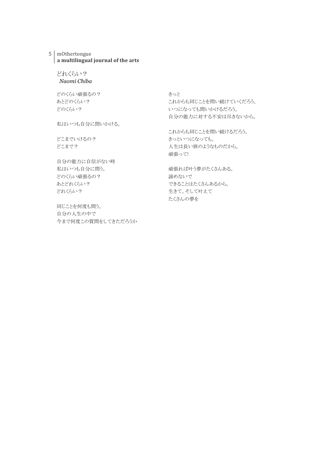### 5 mOthertongue a multilingual journal of the arts

## どれくらい? *Naomi Chiba*

どのくらい頑張るの? あとどのくらい? どのくらい?

私はいつも自分に問いかける。

どこまでいけるの? どこまで?

自分の能力に自信がない時 私はいつも自分に問う。 どのくらい頑張るの? あとどれくらい? どれくらい?

同じことを何度も問う。 自分の人生の中で 今まで何度この質問をしてきただろうか きっと これからも同じことを問い続けていくだろう。 いつになっても問いかけるだろう。 自分の能力に対する不安は尽きないから。

これからも同じことを問い続けるだろう。 きっといつになっても。 人生は長い旅のようなものだから。 頑張って!

頑張れば叶う夢がたくさんある。 諦めないで できることはたくさんあるから。 生きて、そして叶えて たくさんの夢を